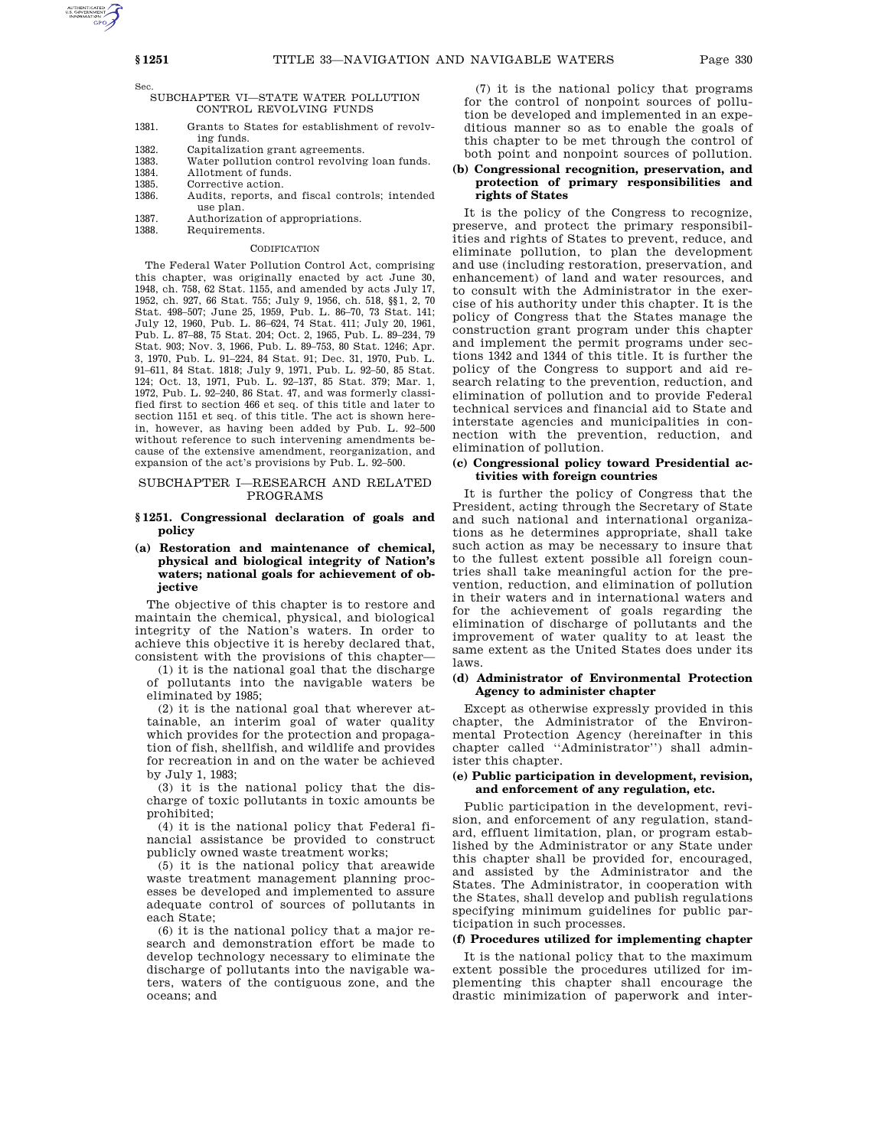#### Sec. SUBCHAPTER VI—STATE WATER POLLUTION CONTROL REVOLVING FUNDS

- 1381. Grants to States for establishment of revolving funds.
- 1382. Capitalization grant agreements.
- 1383. Water pollution control revolving loan funds.<br>1384 Allotment of funds
- Allotment of funds.
- 1385. Corrective action.<br>1386. Audits. reports. a
- Audits, reports, and fiscal controls; intended use plan.
- 1387. Authorization of appropriations.<br>1388. Requirements.
- Requirements.

### CODIFICATION

The Federal Water Pollution Control Act, comprising this chapter, was originally enacted by act June 30, 1948, ch. 758, 62 Stat. 1155, and amended by acts July 17, 1952, ch. 927, 66 Stat. 755; July 9, 1956, ch. 518, §§1, 2, 70 Stat. 498–507; June 25, 1959, Pub. L. 86–70, 73 Stat. 141; July 12, 1960, Pub. L. 86–624, 74 Stat. 411; July 20, 1961, Pub. L. 87–88, 75 Stat. 204; Oct. 2, 1965, Pub. L. 89–234, 79 Stat. 903; Nov. 3, 1966, Pub. L. 89–753, 80 Stat. 1246; Apr. 3, 1970, Pub. L. 91–224, 84 Stat. 91; Dec. 31, 1970, Pub. L. 91–611, 84 Stat. 1818; July 9, 1971, Pub. L. 92–50, 85 Stat. 124; Oct. 13, 1971, Pub. L. 92–137, 85 Stat. 379; Mar. 1, 1972, Pub. L. 92–240, 86 Stat. 47, and was formerly classified first to section 466 et seq. of this title and later to section 1151 et seq. of this title. The act is shown herein, however, as having been added by Pub. L. 92–500 without reference to such intervening amendments because of the extensive amendment, reorganization, and expansion of the act's provisions by Pub. L. 92–500.

# SUBCHAPTER I—RESEARCH AND RELATED PROGRAMS

### **§ 1251. Congressional declaration of goals and policy**

# **(a) Restoration and maintenance of chemical, physical and biological integrity of Nation's waters; national goals for achievement of objective**

The objective of this chapter is to restore and maintain the chemical, physical, and biological integrity of the Nation's waters. In order to achieve this objective it is hereby declared that, consistent with the provisions of this chapter—

(1) it is the national goal that the discharge of pollutants into the navigable waters be eliminated by 1985;

(2) it is the national goal that wherever attainable, an interim goal of water quality which provides for the protection and propagation of fish, shellfish, and wildlife and provides for recreation in and on the water be achieved by July 1, 1983;

(3) it is the national policy that the discharge of toxic pollutants in toxic amounts be prohibited;

(4) it is the national policy that Federal financial assistance be provided to construct publicly owned waste treatment works;

(5) it is the national policy that areawide waste treatment management planning processes be developed and implemented to assure adequate control of sources of pollutants in each State;

(6) it is the national policy that a major research and demonstration effort be made to develop technology necessary to eliminate the discharge of pollutants into the navigable waters, waters of the contiguous zone, and the oceans; and

(7) it is the national policy that programs for the control of nonpoint sources of pollution be developed and implemented in an expeditious manner so as to enable the goals of this chapter to be met through the control of both point and nonpoint sources of pollution.

# **(b) Congressional recognition, preservation, and protection of primary responsibilities and rights of States**

It is the policy of the Congress to recognize, preserve, and protect the primary responsibilities and rights of States to prevent, reduce, and eliminate pollution, to plan the development and use (including restoration, preservation, and enhancement) of land and water resources, and to consult with the Administrator in the exercise of his authority under this chapter. It is the policy of Congress that the States manage the construction grant program under this chapter and implement the permit programs under sections 1342 and 1344 of this title. It is further the policy of the Congress to support and aid research relating to the prevention, reduction, and elimination of pollution and to provide Federal technical services and financial aid to State and interstate agencies and municipalities in connection with the prevention, reduction, and elimination of pollution.

# **(c) Congressional policy toward Presidential activities with foreign countries**

It is further the policy of Congress that the President, acting through the Secretary of State and such national and international organizations as he determines appropriate, shall take such action as may be necessary to insure that to the fullest extent possible all foreign countries shall take meaningful action for the prevention, reduction, and elimination of pollution in their waters and in international waters and for the achievement of goals regarding the elimination of discharge of pollutants and the improvement of water quality to at least the same extent as the United States does under its laws.

# **(d) Administrator of Environmental Protection Agency to administer chapter**

Except as otherwise expressly provided in this chapter, the Administrator of the Environmental Protection Agency (hereinafter in this chapter called ''Administrator'') shall administer this chapter.

# **(e) Public participation in development, revision, and enforcement of any regulation, etc.**

Public participation in the development, revision, and enforcement of any regulation, standard, effluent limitation, plan, or program established by the Administrator or any State under this chapter shall be provided for, encouraged, and assisted by the Administrator and the States. The Administrator, in cooperation with the States, shall develop and publish regulations specifying minimum guidelines for public participation in such processes.

# **(f) Procedures utilized for implementing chapter**

It is the national policy that to the maximum extent possible the procedures utilized for implementing this chapter shall encourage the drastic minimization of paperwork and inter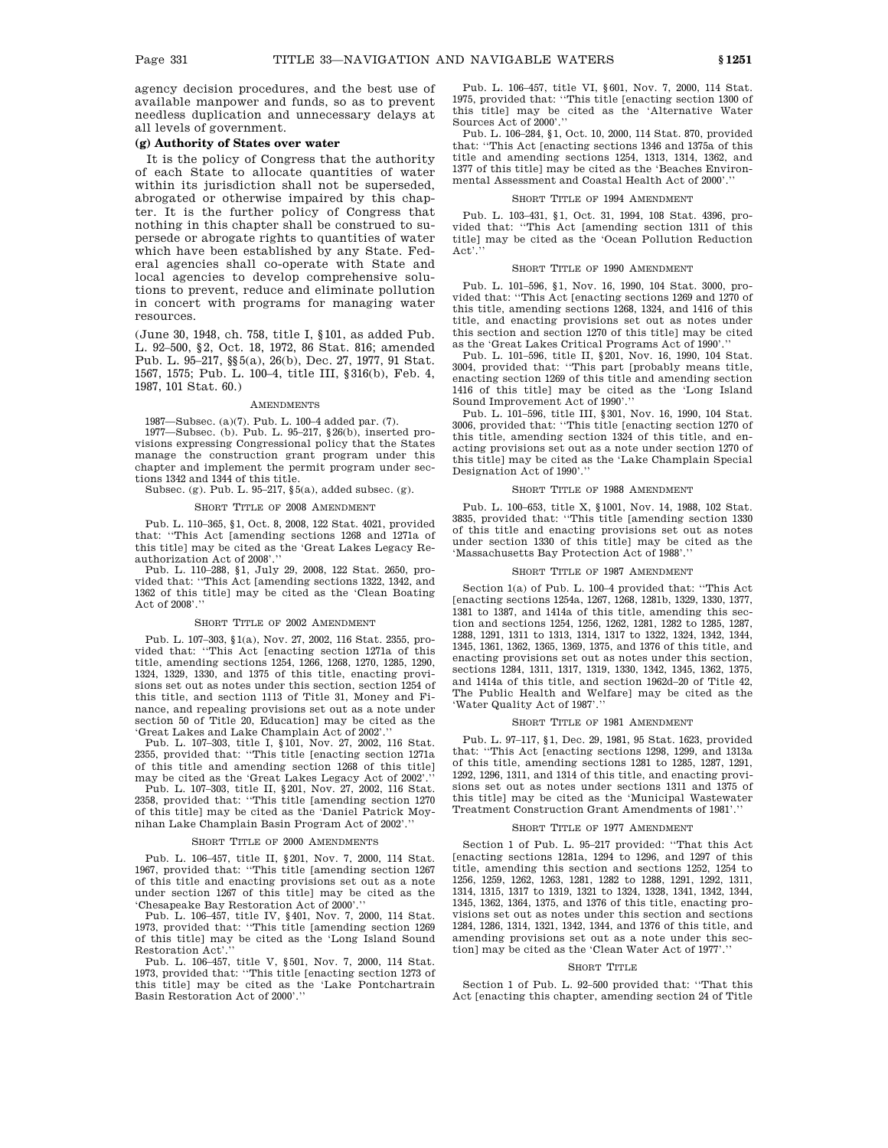agency decision procedures, and the best use of available manpower and funds, so as to prevent needless duplication and unnecessary delays at all levels of government.

# **(g) Authority of States over water**

It is the policy of Congress that the authority of each State to allocate quantities of water within its jurisdiction shall not be superseded, abrogated or otherwise impaired by this chapter. It is the further policy of Congress that nothing in this chapter shall be construed to supersede or abrogate rights to quantities of water which have been established by any State. Federal agencies shall co-operate with State and local agencies to develop comprehensive solutions to prevent, reduce and eliminate pollution in concert with programs for managing water resources.

(June 30, 1948, ch. 758, title I, §101, as added Pub. L. 92–500, §2, Oct. 18, 1972, 86 Stat. 816; amended Pub. L. 95–217, §§5(a), 26(b), Dec. 27, 1977, 91 Stat. 1567, 1575; Pub. L. 100–4, title III, §316(b), Feb. 4, 1987, 101 Stat. 60.)

### **AMENDMENTS**

1987—Subsec. (a)(7). Pub. L. 100–4 added par. (7). 1977—Subsec. (b). Pub. L. 95–217, §26(b), inserted provisions expressing Congressional policy that the States manage the construction grant program under this chapter and implement the permit program under sections 1342 and 1344 of this title.

Subsec. (g). Pub. L. 95–217, §5(a), added subsec. (g).

#### SHORT TITLE OF 2008 AMENDMENT

Pub. L. 110–365, §1, Oct. 8, 2008, 122 Stat. 4021, provided that: ''This Act [amending sections 1268 and 1271a of this title] may be cited as the 'Great Lakes Legacy Reauthorization Act of 2008'.''

Pub. L. 110–288, §1, July 29, 2008, 122 Stat. 2650, provided that: ''This Act [amending sections 1322, 1342, and 1362 of this title] may be cited as the 'Clean Boating Act of 2008'.''

### SHORT TITLE OF 2002 AMENDMENT

Pub. L. 107–303, §1(a), Nov. 27, 2002, 116 Stat. 2355, provided that: ''This Act [enacting section 1271a of this title, amending sections 1254, 1266, 1268, 1270, 1285, 1290, 1324, 1329, 1330, and 1375 of this title, enacting provisions set out as notes under this section, section 1254 of this title, and section 1113 of Title 31, Money and Finance, and repealing provisions set out as a note under section 50 of Title 20, Education] may be cited as the 'Great Lakes and Lake Champlain Act of 2002'.''

Pub. L. 107-303, title I, §101, Nov. 27, 2002, 116 Stat. 2355, provided that: ''This title [enacting section 1271a of this title and amending section 1268 of this title] may be cited as the 'Great Lakes Legacy Act of 2002'.'' Pub. L. 107–303, title II, §201, Nov. 27, 2002, 116 Stat.

2358, provided that: ''This title [amending section 1270 of this title] may be cited as the 'Daniel Patrick Moynihan Lake Champlain Basin Program Act of 2002'.''

### SHORT TITLE OF 2000 AMENDMENTS

Pub. L. 106–457, title II, §201, Nov. 7, 2000, 114 Stat. 1967, provided that: ''This title [amending section 1267 of this title and enacting provisions set out as a note under section 1267 of this title] may be cited as the

'Chesapeake Bay Restoration Act of 2000'.'' Pub. L. 106–457, title IV, §401, Nov. 7, 2000, 114 Stat. 1973, provided that: ''This title [amending section 1269 of this title] may be cited as the 'Long Island Sound

Restoration Act'.'' Pub. L. 106–457, title V, §501, Nov. 7, 2000, 114 Stat. 1973, provided that: ''This title [enacting section 1273 of this title] may be cited as the 'Lake Pontchartrain Basin Restoration Act of 2000'.''

Pub. L. 106–457, title VI, §601, Nov. 7, 2000, 114 Stat. 1975, provided that: ''This title [enacting section 1300 of this title] may be cited as the 'Alternative Water Sources Act of 2000'.''

Pub. L. 106–284, §1, Oct. 10, 2000, 114 Stat. 870, provided that: ''This Act [enacting sections 1346 and 1375a of this title and amending sections 1254, 1313, 1314, 1362, and 1377 of this title] may be cited as the 'Beaches Environmental Assessment and Coastal Health Act of 2000'.''

#### SHORT TITLE OF 1994 AMENDMENT

Pub. L. 103–431, §1, Oct. 31, 1994, 108 Stat. 4396, provided that: ''This Act [amending section 1311 of this title] may be cited as the 'Ocean Pollution Reduction Act'.

#### SHORT TITLE OF 1990 AMENDMENT

Pub. L. 101–596, §1, Nov. 16, 1990, 104 Stat. 3000, provided that: ''This Act [enacting sections 1269 and 1270 of this title, amending sections 1268, 1324, and 1416 of this title, and enacting provisions set out as notes under this section and section 1270 of this title] may be cited as the 'Great Lakes Critical Programs Act of 1990'.

Pub. L. 101–596, title II, §201, Nov. 16, 1990, 104 Stat. 3004, provided that: ''This part [probably means title, enacting section 1269 of this title and amending section 1416 of this title] may be cited as the 'Long Island Sound Improvement Act of 1990'.''

Pub. L. 101–596, title III, §301, Nov. 16, 1990, 104 Stat. 3006, provided that: ''This title [enacting section 1270 of this title, amending section 1324 of this title, and enacting provisions set out as a note under section 1270 of this title] may be cited as the 'Lake Champlain Special Designation Act of 1990'.''

#### SHORT TITLE OF 1988 AMENDMENT

Pub. L. 100–653, title X, §1001, Nov. 14, 1988, 102 Stat. 3835, provided that: ''This title [amending section 1330 of this title and enacting provisions set out as notes under section 1330 of this title] may be cited as the 'Massachusetts Bay Protection Act of 1988'.

# SHORT TITLE OF 1987 AMENDMENT

Section 1(a) of Pub. L. 100–4 provided that: ''This Act [enacting sections 1254a, 1267, 1268, 1281b, 1329, 1330, 1377, 1381 to 1387, and 1414a of this title, amending this section and sections 1254, 1256, 1262, 1281, 1282 to 1285, 1287, 1288, 1291, 1311 to 1313, 1314, 1317 to 1322, 1324, 1342, 1344, 1345, 1361, 1362, 1365, 1369, 1375, and 1376 of this title, and enacting provisions set out as notes under this section, sections 1284, 1311, 1317, 1319, 1330, 1342, 1345, 1362, 1375, and 1414a of this title, and section 1962d–20 of Title 42, The Public Health and Welfare] may be cited as the 'Water Quality Act of 1987'.''

### SHORT TITLE OF 1981 AMENDMENT

Pub. L. 97–117, §1, Dec. 29, 1981, 95 Stat. 1623, provided that: ''This Act [enacting sections 1298, 1299, and 1313a of this title, amending sections 1281 to 1285, 1287, 1291, 1292, 1296, 1311, and 1314 of this title, and enacting provisions set out as notes under sections 1311 and 1375 of this title] may be cited as the 'Municipal Wastewater Treatment Construction Grant Amendments of 1981'.''

#### SHORT TITLE OF 1977 AMENDMENT

Section 1 of Pub. L. 95–217 provided: ''That this Act [enacting sections 1281a, 1294 to 1296, and 1297 of this title, amending this section and sections 1252, 1254 to 1256, 1259, 1262, 1263, 1281, 1282 to 1288, 1291, 1292, 1311, 1314, 1315, 1317 to 1319, 1321 to 1324, 1328, 1341, 1342, 1344, 1345, 1362, 1364, 1375, and 1376 of this title, enacting provisions set out as notes under this section and sections 1284, 1286, 1314, 1321, 1342, 1344, and 1376 of this title, and amending provisions set out as a note under this section] may be cited as the 'Clean Water Act of 1977'.''

### SHORT TITLE

Section 1 of Pub. L. 92–500 provided that: ''That this Act [enacting this chapter, amending section 24 of Title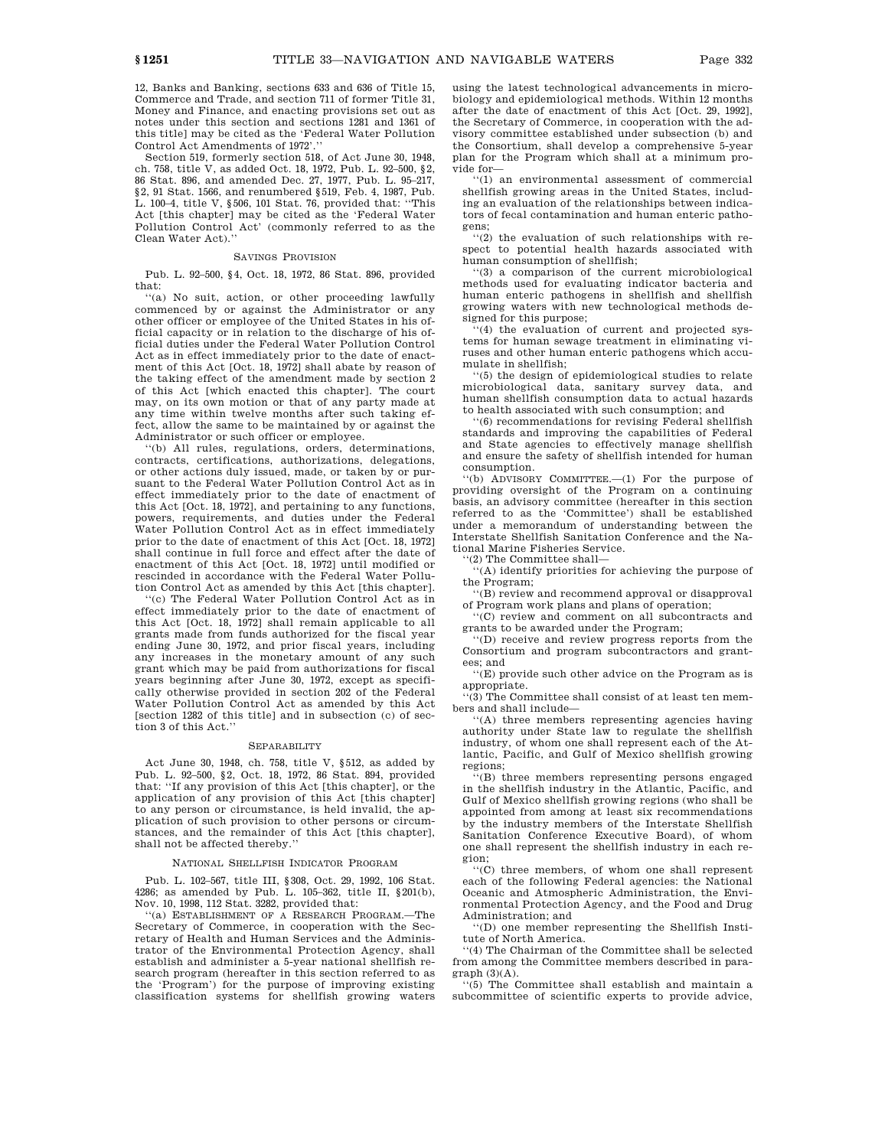12, Banks and Banking, sections 633 and 636 of Title 15, Commerce and Trade, and section 711 of former Title 31, Money and Finance, and enacting provisions set out as notes under this section and sections 1281 and 1361 of this title] may be cited as the 'Federal Water Pollution Control Act Amendments of 1972'.''

Section 519, formerly section 518, of Act June 30, 1948, ch. 758, title V, as added Oct. 18, 1972, Pub. L. 92–500, §2, 86 Stat. 896, and amended Dec. 27, 1977, Pub. L. 95–217, §2, 91 Stat. 1566, and renumbered §519, Feb. 4, 1987, Pub. L. 100–4, title V, §506, 101 Stat. 76, provided that: ''This Act [this chapter] may be cited as the 'Federal Water Pollution Control Act' (commonly referred to as the Clean Water Act).''

#### SAVINGS PROVISION

Pub. L. 92–500, §4, Oct. 18, 1972, 86 Stat. 896, provided that:

''(a) No suit, action, or other proceeding lawfully commenced by or against the Administrator or any other officer or employee of the United States in his official capacity or in relation to the discharge of his official duties under the Federal Water Pollution Control Act as in effect immediately prior to the date of enactment of this Act [Oct. 18, 1972] shall abate by reason of the taking effect of the amendment made by section 2 of this Act [which enacted this chapter]. The court may, on its own motion or that of any party made at any time within twelve months after such taking effect, allow the same to be maintained by or against the Administrator or such officer or employee.

''(b) All rules, regulations, orders, determinations, contracts, certifications, authorizations, delegations, or other actions duly issued, made, or taken by or pursuant to the Federal Water Pollution Control Act as in effect immediately prior to the date of enactment of this Act [Oct. 18, 1972], and pertaining to any functions, powers, requirements, and duties under the Federal Water Pollution Control Act as in effect immediately prior to the date of enactment of this Act [Oct. 18, 1972] shall continue in full force and effect after the date of enactment of this Act [Oct. 18, 1972] until modified or rescinded in accordance with the Federal Water Pollution Control Act as amended by this Act [this chapter].

''(c) The Federal Water Pollution Control Act as in effect immediately prior to the date of enactment of this Act [Oct. 18, 1972] shall remain applicable to all grants made from funds authorized for the fiscal year ending June 30, 1972, and prior fiscal years, including any increases in the monetary amount of any such grant which may be paid from authorizations for fiscal years beginning after June 30, 1972, except as specifically otherwise provided in section 202 of the Federal Water Pollution Control Act as amended by this Act [section 1282 of this title] and in subsection (c) of section 3 of this Act.''

#### **SEPARABILITY**

Act June 30, 1948, ch. 758, title V, §512, as added by Pub. L. 92–500, §2, Oct. 18, 1972, 86 Stat. 894, provided that: ''If any provision of this Act [this chapter], or the application of any provision of this Act [this chapter] to any person or circumstance, is held invalid, the application of such provision to other persons or circumstances, and the remainder of this Act [this chapter], shall not be affected thereby.''

#### NATIONAL SHELLFISH INDICATOR PROGRAM

Pub. L. 102–567, title III, §308, Oct. 29, 1992, 106 Stat. 4286; as amended by Pub. L. 105–362, title II, §201(b), Nov. 10, 1998, 112 Stat. 3282, provided that:

'(a) ESTABLISHMENT OF A RESEARCH PROGRAM.—The Secretary of Commerce, in cooperation with the Secretary of Health and Human Services and the Administrator of the Environmental Protection Agency, shall establish and administer a 5-year national shellfish research program (hereafter in this section referred to as the 'Program') for the purpose of improving existing classification systems for shellfish growing waters

using the latest technological advancements in microbiology and epidemiological methods. Within 12 months after the date of enactment of this Act [Oct. 29, 1992], the Secretary of Commerce, in cooperation with the advisory committee established under subsection (b) and the Consortium, shall develop a comprehensive 5-year plan for the Program which shall at a minimum provide for—

''(1) an environmental assessment of commercial shellfish growing areas in the United States, including an evaluation of the relationships between indicators of fecal contamination and human enteric pathogens;

''(2) the evaluation of such relationships with respect to potential health hazards associated with human consumption of shellfish;

''(3) a comparison of the current microbiological methods used for evaluating indicator bacteria and human enteric pathogens in shellfish and shellfish growing waters with new technological methods designed for this purpose;

 $(4)$  the evaluation of current and projected systems for human sewage treatment in eliminating viruses and other human enteric pathogens which accumulate in shellfish;

''(5) the design of epidemiological studies to relate microbiological data, sanitary survey data, and human shellfish consumption data to actual hazards to health associated with such consumption; and

 $(6)$  recommendations for revising Federal shellfish standards and improving the capabilities of Federal and State agencies to effectively manage shellfish and ensure the safety of shellfish intended for human consumption.

''(b) ADVISORY COMMITTEE.—(1) For the purpose of providing oversight of the Program on a continuing basis, an advisory committee (hereafter in this section referred to as the 'Committee') shall be established under a memorandum of understanding between the Interstate Shellfish Sanitation Conference and the National Marine Fisheries Service.

'(2) The Committee shall-

''(A) identify priorities for achieving the purpose of the Program;

''(B) review and recommend approval or disapproval of Program work plans and plans of operation;

''(C) review and comment on all subcontracts and grants to be awarded under the Program;

''(D) receive and review progress reports from the Consortium and program subcontractors and grantees; and

''(E) provide such other advice on the Program as is appropriate.

 $(3)$  The Committee shall consist of at least ten members and shall include—

'(A) three members representing agencies having authority under State law to regulate the shellfish industry, of whom one shall represent each of the Atlantic, Pacific, and Gulf of Mexico shellfish growing regions;

''(B) three members representing persons engaged in the shellfish industry in the Atlantic, Pacific, and Gulf of Mexico shellfish growing regions (who shall be appointed from among at least six recommendations by the industry members of the Interstate Shellfish Sanitation Conference Executive Board), of whom one shall represent the shellfish industry in each region;

 $\cdot\cdot$ <sup>(C)</sup>) three members, of whom one shall represent each of the following Federal agencies: the National Oceanic and Atmospheric Administration, the Environmental Protection Agency, and the Food and Drug Administration; and

''(D) one member representing the Shellfish Institute of North America.

''(4) The Chairman of the Committee shall be selected from among the Committee members described in para-

graph (3)(A). ''(5) The Committee shall establish and maintain a subcommittee of scientific experts to provide advice,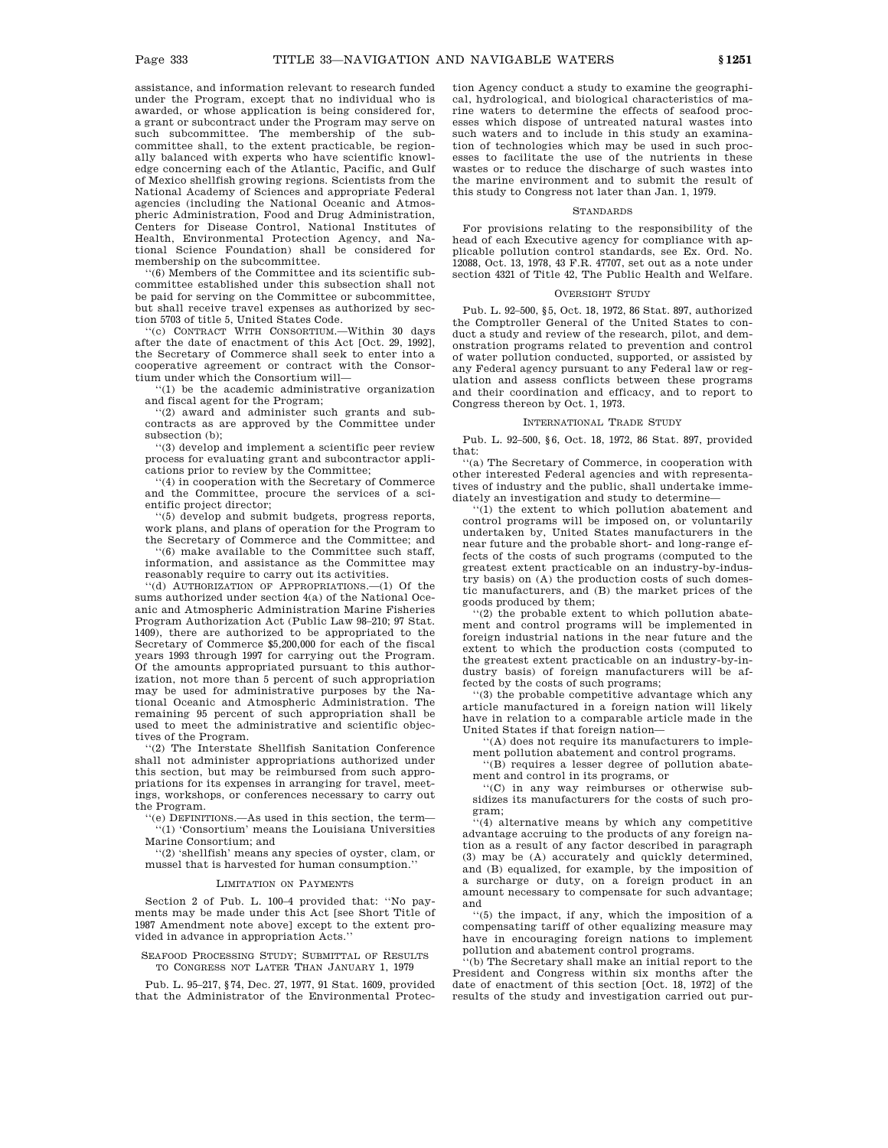assistance, and information relevant to research funded under the Program, except that no individual who is awarded, or whose application is being considered for, a grant or subcontract under the Program may serve on such subcommittee. The membership of the subcommittee shall, to the extent practicable, be regionally balanced with experts who have scientific knowledge concerning each of the Atlantic, Pacific, and Gulf of Mexico shellfish growing regions. Scientists from the National Academy of Sciences and appropriate Federal agencies (including the National Oceanic and Atmospheric Administration, Food and Drug Administration, Centers for Disease Control, National Institutes of Health, Environmental Protection Agency, and National Science Foundation) shall be considered for membership on the subcommittee.

''(6) Members of the Committee and its scientific subcommittee established under this subsection shall not be paid for serving on the Committee or subcommittee, but shall receive travel expenses as authorized by section 5703 of title 5, United States Code.

''(c) CONTRACT WITH CONSORTIUM.—Within 30 days after the date of enactment of this Act [Oct. 29, 1992], the Secretary of Commerce shall seek to enter into a cooperative agreement or contract with the Consortium under which the Consortium will—

''(1) be the academic administrative organization and fiscal agent for the Program;

''(2) award and administer such grants and subcontracts as are approved by the Committee under subsection (b);

''(3) develop and implement a scientific peer review process for evaluating grant and subcontractor applications prior to review by the Committee;

''(4) in cooperation with the Secretary of Commerce and the Committee, procure the services of a scientific project director;

''(5) develop and submit budgets, progress reports, work plans, and plans of operation for the Program to the Secretary of Commerce and the Committee; and

''(6) make available to the Committee such staff, information, and assistance as the Committee may reasonably require to carry out its activities.

''(d) AUTHORIZATION OF APPROPRIATIONS.—(1) Of the sums authorized under section 4(a) of the National Oceanic and Atmospheric Administration Marine Fisheries Program Authorization Act (Public Law 98–210; 97 Stat. 1409), there are authorized to be appropriated to the Secretary of Commerce \$5,200,000 for each of the fiscal years 1993 through 1997 for carrying out the Program. Of the amounts appropriated pursuant to this authorization, not more than 5 percent of such appropriation may be used for administrative purposes by the National Oceanic and Atmospheric Administration. The remaining 95 percent of such appropriation shall be used to meet the administrative and scientific objectives of the Program.

''(2) The Interstate Shellfish Sanitation Conference shall not administer appropriations authorized under this section, but may be reimbursed from such appropriations for its expenses in arranging for travel, meetings, workshops, or conferences necessary to carry out the Program.

''(e) DEFINITIONS.—As used in this section, the term— ''(1) 'Consortium' means the Louisiana Universities Marine Consortium; and

''(2) 'shellfish' means any species of oyster, clam, or mussel that is harvested for human consumption.''

### LIMITATION ON PAYMENTS

Section 2 of Pub. L. 100–4 provided that: ''No payments may be made under this Act [see Short Title of 1987 Amendment note above] except to the extent provided in advance in appropriation Acts.''

### SEAFOOD PROCESSING STUDY; SUBMITTAL OF RESULTS TO CONGRESS NOT LATER THAN JANUARY 1, 1979

Pub. L. 95–217, §74, Dec. 27, 1977, 91 Stat. 1609, provided that the Administrator of the Environmental Protection Agency conduct a study to examine the geographical, hydrological, and biological characteristics of marine waters to determine the effects of seafood processes which dispose of untreated natural wastes into such waters and to include in this study an examination of technologies which may be used in such processes to facilitate the use of the nutrients in these wastes or to reduce the discharge of such wastes into the marine environment and to submit the result of this study to Congress not later than Jan. 1, 1979.

### STANDARDS

For provisions relating to the responsibility of the head of each Executive agency for compliance with applicable pollution control standards, see Ex. Ord. No. 12088, Oct. 13, 1978, 43 F.R. 47707, set out as a note under section 4321 of Title 42, The Public Health and Welfare.

### OVERSIGHT STUDY

Pub. L. 92–500, §5, Oct. 18, 1972, 86 Stat. 897, authorized the Comptroller General of the United States to conduct a study and review of the research, pilot, and demonstration programs related to prevention and control of water pollution conducted, supported, or assisted by any Federal agency pursuant to any Federal law or regulation and assess conflicts between these programs and their coordination and efficacy, and to report to Congress thereon by Oct. 1, 1973.

### INTERNATIONAL TRADE STUDY

Pub. L. 92–500, §6, Oct. 18, 1972, 86 Stat. 897, provided that:

''(a) The Secretary of Commerce, in cooperation with other interested Federal agencies and with representatives of industry and the public, shall undertake immediately an investigation and study to determine—

''(1) the extent to which pollution abatement and control programs will be imposed on, or voluntarily undertaken by, United States manufacturers in the near future and the probable short- and long-range effects of the costs of such programs (computed to the greatest extent practicable on an industry-by-industry basis) on (A) the production costs of such domestic manufacturers, and (B) the market prices of the goods produced by them;

''(2) the probable extent to which pollution abatement and control programs will be implemented in foreign industrial nations in the near future and the extent to which the production costs (computed to the greatest extent practicable on an industry-by-industry basis) of foreign manufacturers will be affected by the costs of such programs;

''(3) the probable competitive advantage which any article manufactured in a foreign nation will likely have in relation to a comparable article made in the United States if that foreign nation—

''(A) does not require its manufacturers to implement pollution abatement and control programs.

''(B) requires a lesser degree of pollution abatement and control in its programs, or

''(C) in any way reimburses or otherwise subsidizes its manufacturers for the costs of such program;

''(4) alternative means by which any competitive advantage accruing to the products of any foreign nation as a result of any factor described in paragraph (3) may be (A) accurately and quickly determined, and (B) equalized, for example, by the imposition of a surcharge or duty, on a foreign product in an amount necessary to compensate for such advantage; and

''(5) the impact, if any, which the imposition of a compensating tariff of other equalizing measure may have in encouraging foreign nations to implement pollution and abatement control programs.

''(b) The Secretary shall make an initial report to the President and Congress within six months after the date of enactment of this section [Oct. 18, 1972] of the results of the study and investigation carried out pur